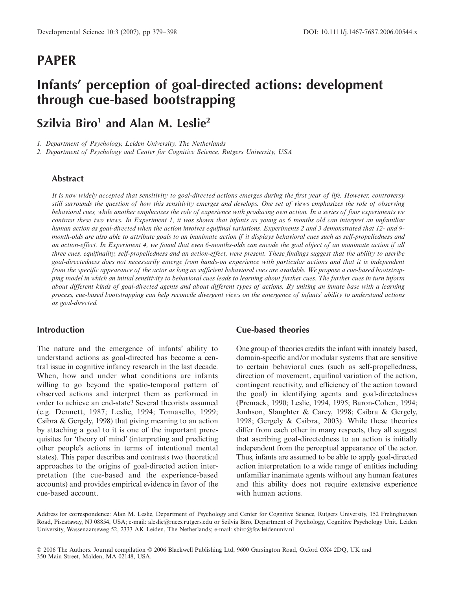# **PAPFR**

# Infants' perception of goal-directed actions: development **through cue-based bootstrapping**

# **Szilvia Biro<sup>1</sup> and Alan M. Leslie<sup>2</sup>**

*1. Department of Psychology, Leiden University, The Netherlands*

*2. Department of Psychology and Center for Cognitive Science, Rutgers University, USA*

## **Abstract**

*It is now widely accepted that sensitivity to goal-directed actions emerges during the first year of life. However, controversy still surrounds the question of how this sensitivity emerges and develops. One set of views emphasizes the role of observing behavioral cues, while another emphasizes the role of experience with producing own action. In a series of four experiments we contrast these two views. In Experiment 1, it was shown that infants as young as 6 months old can interpret an unfamiliar human action as goal-directed when the action involves equifinal variations. Experiments 2 and 3 demonstrated that 12- and 9 month-olds are also able to attribute goals to an inanimate action if it displays behavioral cues such as self-propelledness and an action-effect. In Experiment 4, we found that even 6-months-olds can encode the goal object of an inanimate action if all three cues, equifinality, self-propelledness and an action-effect, were present. These findings suggest that the ability to ascribe goal-directedness does not necessarily emerge from hands-on experience with particular actions and that it is independent from the specific appearance of the actor as long as sufficient behavioral cues are available. We propose a cue-based bootstrapping model in which an initial sensitivity to behavioral cues leads to learning about further cues. The further cues in turn inform about different kinds of goal-directed agents and about different types of actions. By uniting an innate base with a learning process, cue-based bootstrapping can help reconcile divergent views on the emergence of infants' ability to understand actions as goal-directed.*

# **Introduction**

The nature and the emergence of infants' ability to understand actions as goal-directed has become a central issue in cognitive infancy research in the last decade. When, how and under what conditions are infants willing to go beyond the spatio-temporal pattern of observed actions and interpret them as performed in order to achieve an end-state? Several theorists assumed (e.g. Dennett, 1987; Leslie, 1994; Tomasello, 1999; Csibra & Gergely, 1998) that giving meaning to an action by attaching a goal to it is one of the important prerequisites for 'theory of mind' (interpreting and predicting other people's actions in terms of intentional mental states). This paper describes and contrasts two theoretical approaches to the origins of goal-directed action interpretation (the cue-based and the experience-based accounts) and provides empirical evidence in favor of the cue-based account.

# **Cue-based theories**

One group of theories credits the infant with innately based, domain-specific and/or modular systems that are sensitive to certain behavioral cues (such as self-propelledness, direction of movement, equifinal variation of the action, contingent reactivity, and efficiency of the action toward the goal) in identifying agents and goal-directedness (Premack, 1990; Leslie, 1994, 1995; Baron-Cohen, 1994; Jonhson, Slaughter & Carey, 1998; Csibra & Gergely, 1998; Gergely & Csibra, 2003). While these theories differ from each other in many respects, they all suggest that ascribing goal-directedness to an action is initially independent from the perceptual appearance of the actor. Thus, infants are assumed to be able to apply goal-directed action interpretation to a wide range of entities including unfamiliar inanimate agents without any human features and this ability does not require extensive experience with human actions.

Address for correspondence: Alan M. Leslie, Department of Psychology and Center for Cognitive Science, Rutgers University, 152 Frelinghuysen Road, Piscataway, NJ 08854, USA; e-mail: aleslie@ruccs.rutgers.edu or Szilvia Biro, Department of Psychology, Cognitive Psychology Unit, Leiden University, Wassenaarseweg 52, 2333 AK Leiden, The Netherlands; e-mail: sbiro@fsw.leidenuniv.nl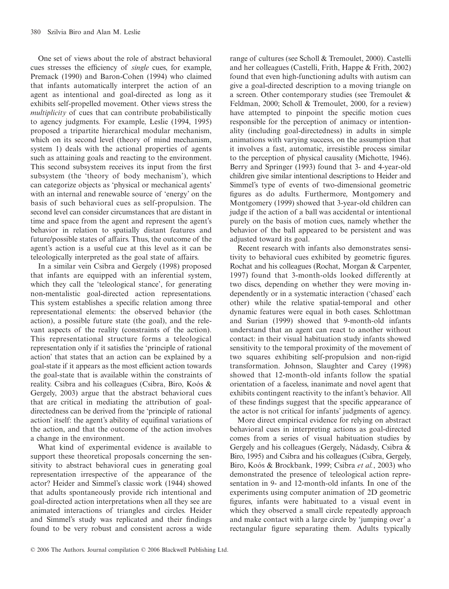One set of views about the role of abstract behavioral cues stresses the efficiency of *single* cues, for example, Premack (1990) and Baron-Cohen (1994) who claimed that infants automatically interpret the action of an agent as intentional and goal-directed as long as it exhibits self-propelled movement. Other views stress the *multiplicity* of cues that can contribute probabilistically to agency judgments. For example, Leslie (1994, 1995) proposed a tripartite hierarchical modular mechanism, which on its second level (theory of mind mechanism, system 1) deals with the actional properties of agents such as attaining goals and reacting to the environment. This second subsystem receives its input from the first subsystem (the 'theory of body mechanism'), which can categorize objects as 'physical or mechanical agents' with an internal and renewable source of 'energy' on the basis of such behavioral cues as self-propulsion. The second level can consider circumstances that are distant in time and space from the agent and represent the agent's behavior in relation to spatially distant features and future/possible states of affairs. Thus, the outcome of the agent's action is a useful cue at this level as it can be teleologically interpreted as the goal state of affairs.

In a similar vein Csibra and Gergely (1998) proposed that infants are equipped with an inferential system, which they call the 'teleological stance', for generating non-mentalistic goal-directed action representations. This system establishes a specific relation among three representational elements: the observed behavior (the action), a possible future state (the goal), and the relevant aspects of the reality (constraints of the action). This representational structure forms a teleological representation only if it satisfies the 'principle of rational action' that states that an action can be explained by a goal-state if it appears as the most efficient action towards the goal-state that is available within the constraints of reality. Csibra and his colleagues (Csibra, Biro, Koós & Gergely, 2003) argue that the abstract behavioral cues that are critical in mediating the attribution of goaldirectedness can be derived from the 'principle of rational action' itself: the agent's ability of equifinal variations of the action, and that the outcome of the action involves a change in the environment.

What kind of experimental evidence is available to support these theoretical proposals concerning the sensitivity to abstract behavioral cues in generating goal representation irrespective of the appearance of the actor? Heider and Simmel's classic work (1944) showed that adults spontaneously provide rich intentional and goal-directed action interpretations when all they see are animated interactions of triangles and circles. Heider and Simmel's study was replicated and their findings found to be very robust and consistent across a wide

range of cultures (see Scholl & Tremoulet, 2000). Castelli and her colleagues (Castelli, Frith, Happe & Frith, 2002) found that even high-functioning adults with autism can give a goal-directed description to a moving triangle on a screen. Other contemporary studies (see Tremoulet & Feldman, 2000; Scholl & Tremoulet, 2000, for a review) have attempted to pinpoint the specific motion cues responsible for the perception of animacy or intentionality (including goal-directedness) in adults in simple animations with varying success, on the assumption that it involves a fast, automatic, irresistible process similar to the perception of physical causality (Michotte, 1946). Berry and Springer (1993) found that 3- and 4-year-old children give similar intentional descriptions to Heider and Simmel's type of events of two-dimensional geometric figures as do adults. Furthermore, Montgomery and Montgomery (1999) showed that 3-year-old children can judge if the action of a ball was accidental or intentional purely on the basis of motion cues, namely whether the behavior of the ball appeared to be persistent and was adjusted toward its goal.

Recent research with infants also demonstrates sensitivity to behavioral cues exhibited by geometric figures. Rochat and his colleagues (Rochat, Morgan & Carpenter, 1997) found that 3-month-olds looked differently at two discs, depending on whether they were moving independently or in a systematic interaction ('chased' each other) while the relative spatial-temporal and other dynamic features were equal in both cases. Schlottman and Surian (1999) showed that 9-month-old infants understand that an agent can react to another without contact: in their visual habituation study infants showed sensitivity to the temporal proximity of the movement of two squares exhibiting self-propulsion and non-rigid transformation. Johnson, Slaughter and Carey (1998) showed that 12-month-old infants follow the spatial orientation of a faceless, inanimate and novel agent that exhibits contingent reactivity to the infant's behavior. All of these findings suggest that the specific appearance of the actor is not critical for infants' judgments of agency.

More direct empirical evidence for relying on abstract behavioral cues in interpreting actions as goal-directed comes from a series of visual habituation studies by Gergely and his colleagues (Gergely, Nádasdy, Csibra & Biro, 1995) and Csibra and his colleagues (Csibra, Gergely, Biro, Koós & Brockbank, 1999; Csibra *et al.*, 2003) who demonstrated the presence of teleological action representation in 9- and 12-month-old infants. In one of the experiments using computer animation of 2D geometric figures, infants were habituated to a visual event in which they observed a small circle repeatedly approach and make contact with a large circle by 'jumping over' a rectangular figure separating them. Adults typically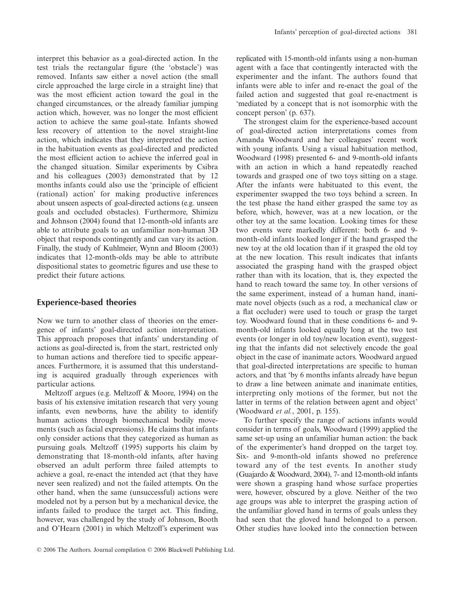interpret this behavior as a goal-directed action. In the test trials the rectangular figure (the 'obstacle') was removed. Infants saw either a novel action (the small circle approached the large circle in a straight line) that was the most efficient action toward the goal in the changed circumstances, or the already familiar jumping action which, however, was no longer the most efficient action to achieve the same goal-state. Infants showed less recovery of attention to the novel straight-line action, which indicates that they interpreted the action in the habituation events as goal-directed and predicted the most efficient action to achieve the inferred goal in the changed situation. Similar experiments by Csibra and his colleagues (2003) demonstrated that by 12 months infants could also use the 'principle of efficient (rational) action' for making productive inferences about unseen aspects of goal-directed actions (e.g. unseen goals and occluded obstacles). Furthermore, Shimizu and Johnson (2004) found that 12-month-old infants are able to attribute goals to an unfamiliar non-human 3D object that responds contingently and can vary its action. Finally, the study of Kuhlmeier, Wynn and Bloom (2003) indicates that 12-month-olds may be able to attribute dispositional states to geometric figures and use these to predict their future actions.

# **Experience-based theories**

Now we turn to another class of theories on the emergence of infants' goal-directed action interpretation. This approach proposes that infants' understanding of actions as goal-directed is, from the start, restricted only to human actions and therefore tied to specific appearances. Furthermore, it is assumed that this understanding is acquired gradually through experiences with particular actions.

Meltzoff argues (e.g. Meltzoff & Moore, 1994) on the basis of his extensive imitation research that very young infants, even newborns, have the ability to identify human actions through biomechanical bodily movements (such as facial expressions). He claims that infants only consider actions that they categorized as human as pursuing goals. Meltzoff (1995) supports his claim by demonstrating that 18-month-old infants, after having observed an adult perform three failed attempts to achieve a goal, re-enact the intended act (that they have never seen realized) and not the failed attempts. On the other hand, when the same (unsuccessful) actions were modeled not by a person but by a mechanical device, the infants failed to produce the target act. This finding, however, was challenged by the study of Johnson, Booth and O'Hearn (2001) in which Meltzoff's experiment was replicated with 15-month-old infants using a non-human agent with a face that contingently interacted with the experimenter and the infant. The authors found that infants were able to infer and re-enact the goal of the failed action and suggested that goal re-enactment is 'mediated by a concept that is not isomorphic with the concept person' (p. 637).

The strongest claim for the experience-based account of goal-directed action interpretations comes from Amanda Woodward and her colleagues' recent work with young infants. Using a visual habituation method, Woodward (1998) presented 6- and 9-month-old infants with an action in which a hand repeatedly reached towards and grasped one of two toys sitting on a stage. After the infants were habituated to this event, the experimenter swapped the two toys behind a screen. In the test phase the hand either grasped the same toy as before, which, however, was at a new location, or the other toy at the same location. Looking times for these two events were markedly different: both 6- and 9 month-old infants looked longer if the hand grasped the new toy at the old location than if it grasped the old toy at the new location. This result indicates that infants associated the grasping hand with the grasped object rather than with its location, that is, they expected the hand to reach toward the same toy. In other versions of the same experiment, instead of a human hand, inanimate novel objects (such as a rod, a mechanical claw or a flat occluder) were used to touch or grasp the target toy. Woodward found that in these conditions 6- and 9 month-old infants looked equally long at the two test events (or longer in old toy/new location event), suggesting that the infants did not selectively encode the goal object in the case of inanimate actors. Woodward argued that goal-directed interpretations are specific to human actors, and that 'by 6 months infants already have begun to draw a line between animate and inanimate entities, interpreting only motions of the former, but not the latter in terms of the relation between agent and object' (Woodward *et al.*, 2001, p. 155).

To further specify the range of actions infants would consider in terms of goals, Woodward (1999) applied the same set-up using an unfamiliar human action: the back of the experimenter's hand dropped on the target toy. Six- and 9-month-old infants showed no preference toward any of the test events. In another study (Guajardo & Woodward, 2004), 7- and 12-month-old infants were shown a grasping hand whose surface properties were, however, obscured by a glove. Neither of the two age groups was able to interpret the grasping action of the unfamiliar gloved hand in terms of goals unless they had seen that the gloved hand belonged to a person. Other studies have looked into the connection between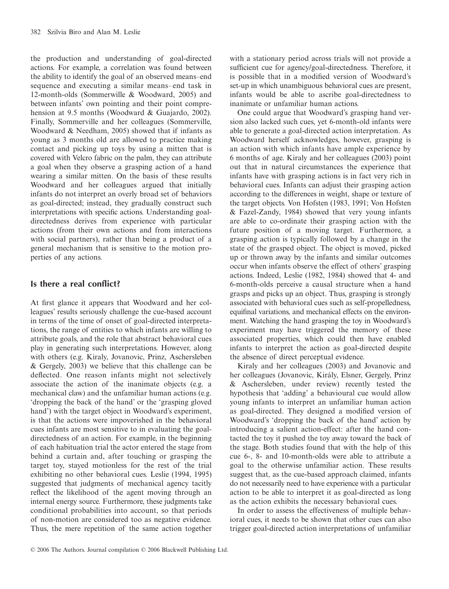the production and understanding of goal-directed actions. For example, a correlation was found between the ability to identify the goal of an observed means–end sequence and executing a similar means–end task in 12-month-olds (Sommerwille & Woodward, 2005) and between infants' own pointing and their point comprehension at 9.5 months (Woodward & Guajardo, 2002). Finally, Sommerville and her colleagues (Sommerville, Woodward & Needham, 2005) showed that if infants as young as 3 months old are allowed to practice making contact and picking up toys by using a mitten that is covered with Velcro fabric on the palm, they can attribute a goal when they observe a grasping action of a hand wearing a similar mitten. On the basis of these results Woodward and her colleagues argued that initially infants do not interpret an overly broad set of behaviors as goal-directed; instead, they gradually construct such interpretations with specific actions. Understanding goaldirectedness derives from experience with particular actions (from their own actions and from interactions with social partners), rather than being a product of a general mechanism that is sensitive to the motion properties of any actions.

# **Is there a real conflict?**

At first glance it appears that Woodward and her colleagues' results seriously challenge the cue-based account in terms of the time of onset of goal-directed interpretations, the range of entities to which infants are willing to attribute goals, and the role that abstract behavioral cues play in generating such interpretations. However, along with others (e.g. Kiraly, Jovanovic, Prinz, Aschersleben & Gergely, 2003) we believe that this challenge can be deflected. One reason infants might not selectively associate the action of the inanimate objects (e.g. a mechanical claw) and the unfamiliar human actions (e.g. 'dropping the back of the hand' or the 'grasping gloved hand') with the target object in Woodward's experiment, is that the actions were impoverished in the behavioral cues infants are most sensitive to in evaluating the goaldirectedness of an action. For example, in the beginning of each habituation trial the actor entered the stage from behind a curtain and, after touching or grasping the target toy, stayed motionless for the rest of the trial exhibiting no other behavioral cues. Leslie (1994, 1995) suggested that judgments of mechanical agency tacitly reflect the likelihood of the agent moving through an internal energy source. Furthermore, these judgments take conditional probabilities into account, so that periods of non-motion are considered too as negative evidence. Thus, the mere repetition of the same action together

with a stationary period across trials will not provide a sufficient cue for agency/goal-directedness. Therefore, it is possible that in a modified version of Woodward's set-up in which unambiguous behavioral cues are present, infants would be able to ascribe goal-directedness to inanimate or unfamiliar human actions.

One could argue that Woodward's grasping hand version also lacked such cues, yet 6-month-old infants were able to generate a goal-directed action interpretation. As Woodward herself acknowledges, however, grasping is an action with which infants have ample experience by 6 months of age. Kiraly and her colleagues (2003) point out that in natural circumstances the experience that infants have with grasping actions is in fact very rich in behavioral cues. Infants can adjust their grasping action according to the differences in weight, shape or texture of the target objects. Von Hofsten (1983, 1991; Von Hofsten & Fazel-Zandy, 1984) showed that very young infants are able to co-ordinate their grasping action with the future position of a moving target. Furthermore, a grasping action is typically followed by a change in the state of the grasped object. The object is moved, picked up or thrown away by the infants and similar outcomes occur when infants observe the effect of others' grasping actions. Indeed, Leslie (1982, 1984) showed that 4- and 6-month-olds perceive a causal structure when a hand grasps and picks up an object. Thus, grasping is strongly associated with behavioral cues such as self-propelledness, equifinal variations, and mechanical effects on the environment. Watching the hand grasping the toy in Woodward's experiment may have triggered the memory of these associated properties, which could then have enabled infants to interpret the action as goal-directed despite the absence of direct perceptual evidence.

Kiraly and her colleagues (2003) and Jovanovic and her colleagues (Jovanovic, Király, Elsner, Gergely, Prinz & Aschersleben, under review) recently tested the hypothesis that 'adding' a behavioural cue would allow young infants to interpret an unfamiliar human action as goal-directed. They designed a modified version of Woodward's 'dropping the back of the hand' action by introducing a salient action-effect: after the hand contacted the toy it pushed the toy away toward the back of the stage. Both studies found that with the help of this cue 6-, 8- and 10-month-olds were able to attribute a goal to the otherwise unfamiliar action. These results suggest that, as the cue-based approach claimed, infants do not necessarily need to have experience with a particular action to be able to interpret it as goal-directed as long as the action exhibits the necessary behavioral cues.

In order to assess the effectiveness of multiple behavioral cues, it needs to be shown that other cues can also trigger goal-directed action interpretations of unfamiliar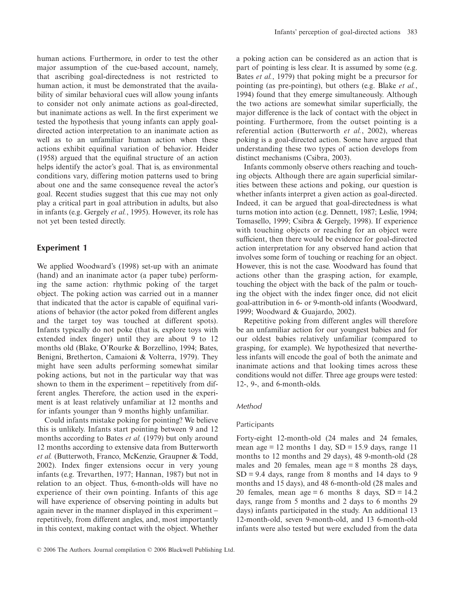human actions. Furthermore, in order to test the other major assumption of the cue-based account, namely, that ascribing goal-directedness is not restricted to human action, it must be demonstrated that the availability of similar behavioral cues will allow young infants to consider not only animate actions as goal-directed, but inanimate actions as well. In the first experiment we tested the hypothesis that young infants can apply goaldirected action interpretation to an inanimate action as well as to an unfamiliar human action when these actions exhibit equifinal variation of behavior. Heider (1958) argued that the equifinal structure of an action helps identify the actor's goal. That is, as environmental conditions vary, differing motion patterns used to bring about one and the same consequence reveal the actor's goal. Recent studies suggest that this cue may not only play a critical part in goal attribution in adults, but also in infants (e.g. Gergely *et al.*, 1995). However, its role has not yet been tested directly.

# **Experiment 1**

We applied Woodward's (1998) set-up with an animate (hand) and an inanimate actor (a paper tube) performing the same action: rhythmic poking of the target object. The poking action was carried out in a manner that indicated that the actor is capable of equifinal variations of behavior (the actor poked from different angles and the target toy was touched at different spots). Infants typically do not poke (that is, explore toys with extended index finger) until they are about 9 to 12 months old (Blake, O'Rourke & Borzellino, 1994; Bates, Benigni, Bretherton, Camaioni & Volterra, 1979). They might have seen adults performing somewhat similar poking actions, but not in the particular way that was shown to them in the experiment – repetitively from different angles. Therefore, the action used in the experiment is at least relatively unfamiliar at 12 months and for infants younger than 9 months highly unfamiliar.

Could infants mistake poking for pointing? We believe this is unlikely. Infants start pointing between 9 and 12 months according to Bates *et al.* (1979) but only around 12 months according to extensive data from Butterworth *et al.* (Butterwoth, Franco, McKenzie, Graupner & Todd, 2002). Index finger extensions occur in very young infants (e.g. Trevarthen, 1977; Hannan, 1987) but not in relation to an object. Thus, 6-month-olds will have no experience of their own pointing. Infants of this age will have experience of observing pointing in adults but again never in the manner displayed in this experiment − repetitively, from different angles, and, most importantly in this context, making contact with the object. Whether a poking action can be considered as an action that is part of pointing is less clear. It is assumed by some (e.g. Bates *et al.*, 1979) that poking might be a precursor for pointing (as pre-pointing), but others (e.g. Blake *et al.*, 1994) found that they emerge simultaneously. Although the two actions are somewhat similar superficially, the major difference is the lack of contact with the object in pointing. Furthermore, from the outset pointing is a referential action (Butterworth *et al.*, 2002), whereas poking is a goal-directed action. Some have argued that understanding these two types of action develops from distinct mechanisms (Csibra, 2003).

Infants commonly observe others reaching and touching objects. Although there are again superficial similarities between these actions and poking, our question is whether infants interpret a given action as goal-directed. Indeed, it can be argued that goal-directedness is what turns motion into action (e.g. Dennett, 1987; Leslie, 1994; Tomasello, 1999; Csibra & Gergely, 1998). If experience with touching objects or reaching for an object were sufficient, then there would be evidence for goal-directed action interpretation for any observed hand action that involves some form of touching or reaching for an object. However, this is not the case. Woodward has found that actions other than the grasping action, for example, touching the object with the back of the palm or touching the object with the index finger once, did not elicit goal-attribution in 6- or 9-month-old infants (Woodward, 1999; Woodward & Guajardo, 2002).

Repetitive poking from different angles will therefore be an unfamiliar action for our youngest babies and for our oldest babies relatively unfamiliar (compared to grasping, for example). We hypothesized that nevertheless infants will encode the goal of both the animate and inanimate actions and that looking times across these conditions would not differ. Three age groups were tested: 12-, 9-, and 6-month-olds.

# *Method*

# Participants

Forty-eight 12-month-old (24 males and 24 females, mean age  $= 12$  months 1 day,  $SD = 15.9$  days, range 11 months to 12 months and 29 days), 48 9-month-old (28 males and 20 females, mean  $age = 8$  months 28 days,  $SD = 9.4$  days, range from 8 months and 14 days to 9 months and 15 days), and 48 6-month-old (28 males and 20 females, mean age  $= 6$  months 8 days,  $SD = 14.2$ days, range from 5 months and 2 days to 6 months 29 days) infants participated in the study. An additional 13 12-month-old, seven 9-month-old, and 13 6-month-old infants were also tested but were excluded from the data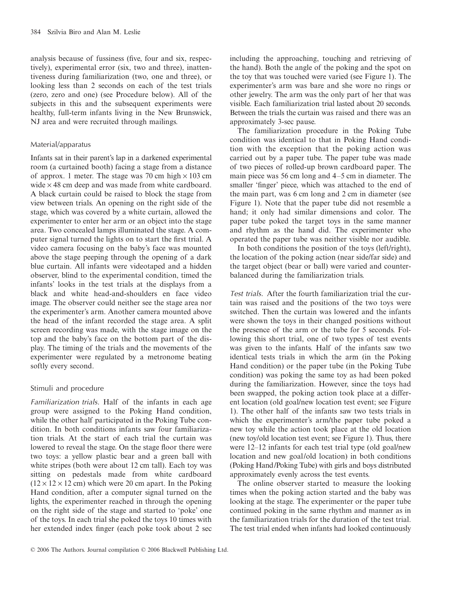analysis because of fussiness (five, four and six, respectively), experimental error (six, two and three), inattentiveness during familiarization (two, one and three), or looking less than 2 seconds on each of the test trials (zero, zero and one) (see Procedure below). All of the subjects in this and the subsequent experiments were healthy, full-term infants living in the New Brunswick, NJ area and were recruited through mailings.

#### Material/apparatus

Infants sat in their parent's lap in a darkened experimental room (a curtained booth) facing a stage from a distance of approx. 1 meter. The stage was 70 cm high  $\times$  103 cm wide  $\times$  48 cm deep and was made from white cardboard. A black curtain could be raised to block the stage from view between trials. An opening on the right side of the stage, which was covered by a white curtain, allowed the experimenter to enter her arm or an object into the stage area. Two concealed lamps illuminated the stage. A computer signal turned the lights on to start the first trial. A video camera focusing on the baby's face was mounted above the stage peeping through the opening of a dark blue curtain. All infants were videotaped and a hidden observer, blind to the experimental condition, timed the infants' looks in the test trials at the displays from a black and white head-and-shoulders en face video image. The observer could neither see the stage area nor the experimenter's arm. Another camera mounted above the head of the infant recorded the stage area. A split screen recording was made, with the stage image on the top and the baby's face on the bottom part of the display. The timing of the trials and the movements of the experimenter were regulated by a metronome beating softly every second.

#### Stimuli and procedure

*Familiarization trials.* Half of the infants in each age group were assigned to the Poking Hand condition, while the other half participated in the Poking Tube condition. In both conditions infants saw four familiarization trials. At the start of each trial the curtain was lowered to reveal the stage. On the stage floor there were two toys: a yellow plastic bear and a green ball with white stripes (both were about 12 cm tall). Each toy was sitting on pedestals made from white cardboard  $(12 \times 12 \times 12$  cm) which were 20 cm apart. In the Poking Hand condition, after a computer signal turned on the lights, the experimenter reached in through the opening on the right side of the stage and started to 'poke' one of the toys. In each trial she poked the toys 10 times with her extended index finger (each poke took about 2 sec including the approaching, touching and retrieving of the hand). Both the angle of the poking and the spot on the toy that was touched were varied (see Figure 1). The experimenter's arm was bare and she wore no rings or other jewelry. The arm was the only part of her that was visible. Each familiarization trial lasted about 20 seconds. Between the trials the curtain was raised and there was an approximately 3-sec pause.

The familiarization procedure in the Poking Tube condition was identical to that in Poking Hand condition with the exception that the poking action was carried out by a paper tube. The paper tube was made of two pieces of rolled-up brown cardboard paper. The main piece was 56 cm long and 4–5 cm in diameter. The smaller 'finger' piece, which was attached to the end of the main part, was 6 cm long and 2 cm in diameter (see Figure 1). Note that the paper tube did not resemble a hand; it only had similar dimensions and color. The paper tube poked the target toys in the same manner and rhythm as the hand did. The experimenter who operated the paper tube was neither visible nor audible.

In both conditions the position of the toys (left/right), the location of the poking action (near side/far side) and the target object (bear or ball) were varied and counterbalanced during the familiarization trials.

*Test trials*. After the fourth familiarization trial the curtain was raised and the positions of the two toys were switched. Then the curtain was lowered and the infants were shown the toys in their changed positions without the presence of the arm or the tube for 5 seconds. Following this short trial, one of two types of test events was given to the infants. Half of the infants saw two identical tests trials in which the arm (in the Poking Hand condition) or the paper tube (in the Poking Tube condition) was poking the same toy as had been poked during the familiarization. However, since the toys had been swapped, the poking action took place at a different location (old goal/new location test event; see Figure 1). The other half of the infants saw two tests trials in which the experimenter's arm/the paper tube poked a new toy while the action took place at the old location (new toy/old location test event; see Figure 1). Thus, there were 12–12 infants for each test trial type (old goal/new location and new goal/old location) in both conditions (Poking Hand/Poking Tube) with girls and boys distributed approximately evenly across the test events.

The online observer started to measure the looking times when the poking action started and the baby was looking at the stage. The experimenter or the paper tube continued poking in the same rhythm and manner as in the familiarization trials for the duration of the test trial. The test trial ended when infants had looked continuously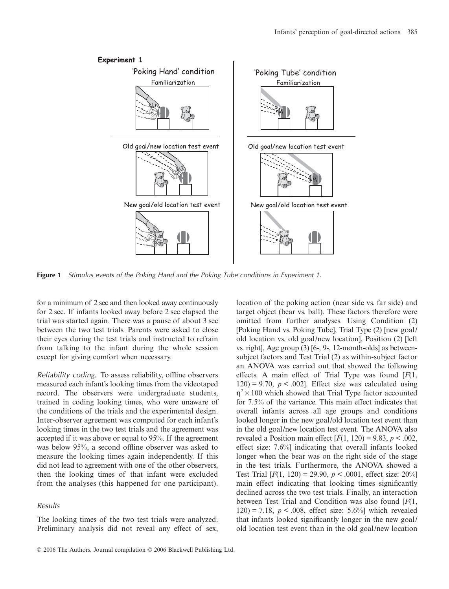

**Figure 1** *Stimulus events of the Poking Hand and the Poking Tube conditions in Experiment 1.*

for a minimum of 2 sec and then looked away continuously for 2 sec. If infants looked away before 2 sec elapsed the trial was started again. There was a pause of about 3 sec between the two test trials. Parents were asked to close their eyes during the test trials and instructed to refrain from talking to the infant during the whole session except for giving comfort when necessary.

*Reliability coding*. To assess reliability, offline observers measured each infant's looking times from the videotaped record. The observers were undergraduate students, trained in coding looking times, who were unaware of the conditions of the trials and the experimental design. Inter-observer agreement was computed for each infant's looking times in the two test trials and the agreement was accepted if it was above or equal to 95%. If the agreement was below 95%, a second offline observer was asked to measure the looking times again independently. If this did not lead to agreement with one of the other observers, then the looking times of that infant were excluded from the analyses (this happened for one participant).

### *Results*

The looking times of the two test trials were analyzed. Preliminary analysis did not reveal any effect of sex,

© 2006 The Authors. Journal compilation © 2006 Blackwell Publishing Ltd.

location of the poking action (near side vs. far side) and target object (bear vs. ball). These factors therefore were omitted from further analyses. Using Condition (2) [Poking Hand vs. Poking Tube], Trial Type (2) [new goal/ old location vs. old goal/new location], Position (2) [left vs. right], Age group (3) [6-, 9-, 12-month-olds] as betweensubject factors and Test Trial (2) as within-subject factor an ANOVA was carried out that showed the following effects. A main effect of Trial Type was found [*F*(1,  $120$ ) = 9.70,  $p < .002$ ]. Effect size was calculated using  $\eta^2$  × 100 which showed that Trial Type factor accounted for 7.5% of the variance. This main effect indicates that overall infants across all age groups and conditions looked longer in the new goal/old location test event than in the old goal/new location test event. The ANOVA also revealed a Position main effect  $[F(1, 120) = 9.83, p < .002,$ effect size: 7.6%] indicating that overall infants looked longer when the bear was on the right side of the stage in the test trials. Furthermore, the ANOVA showed a Test Trial [*F*(1, 120) = 29.90, *p* < .0001, effect size: 20%] main effect indicating that looking times significantly declined across the two test trials. Finally, an interaction between Test Trial and Condition was also found [*F*(1, 120) = 7.18,  $p < .008$ , effect size: 5.6%] which revealed that infants looked significantly longer in the new goal/ old location test event than in the old goal/new location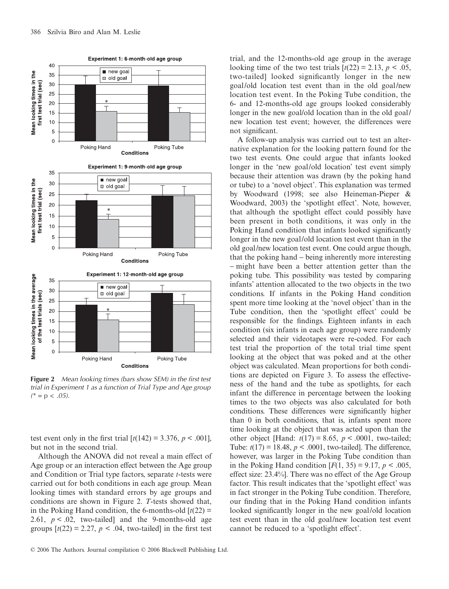

**Figure 2** *Mean looking times (bars show SEM) in the first test trial in Experiment 1 as a function of Trial Type and Age group*   $(* = p < .05).$ 

test event only in the first trial  $[t(142) = 3.376, p < .001]$ , but not in the second trial.

Although the ANOVA did not reveal a main effect of Age group or an interaction effect between the Age group and Condition or Trial type factors, separate *t*-tests were carried out for both conditions in each age group. Mean looking times with standard errors by age groups and conditions are shown in Figure 2. *T*-tests showed that, in the Poking Hand condition, the 6-months-old  $[t(22) =$ 2.61,  $p < 0.02$ , two-tailed and the 9-months-old age groups  $[t(22) = 2.27, p < .04$ , two-tailed in the first test

trial, and the 12-months-old age group in the average looking time of the two test trials  $[t(22) = 2.13, p < .05,$ two-tailed] looked significantly longer in the new goal/old location test event than in the old goal/new location test event. In the Poking Tube condition, the 6- and 12-months-old age groups looked considerably longer in the new goal/old location than in the old goal/ new location test event; however, the differences were not significant.

A follow-up analysis was carried out to test an alternative explanation for the looking pattern found for the two test events. One could argue that infants looked longer in the 'new goal/old location' test event simply because their attention was drawn (by the poking hand or tube) to a 'novel object'. This explanation was termed by Woodward (1998; see also Heineman-Pieper & Woodward, 2003) the 'spotlight effect'. Note, however, that although the spotlight effect could possibly have been present in both conditions, it was only in the Poking Hand condition that infants looked significantly longer in the new goal/old location test event than in the old goal/new location test event. One could argue though, that the poking hand − being inherently more interesting − might have been a better attention getter than the poking tube. This possibility was tested by comparing infants' attention allocated to the two objects in the two conditions. If infants in the Poking Hand condition spent more time looking at the 'novel object' than in the Tube condition, then the 'spotlight effect' could be responsible for the findings. Eighteen infants in each condition (six infants in each age group) were randomly selected and their videotapes were re-coded. For each test trial the proportion of the total trial time spent looking at the object that was poked and at the other object was calculated. Mean proportions for both conditions are depicted on Figure 3. To assess the effectiveness of the hand and the tube as spotlights, for each infant the difference in percentage between the looking times to the two objects was also calculated for both conditions. These differences were significantly higher than 0 in both conditions, that is, infants spent more time looking at the object that was acted upon than the other object [Hand:  $t(17) = 8.65$ ,  $p < .0001$ , two-tailed; Tube:  $t(17) = 18.48$ ,  $p < .0001$ , two-tailed]. The difference, however, was larger in the Poking Tube condition than in the Poking Hand condition  $[F(1, 35) = 9.17, p < .005,$ effect size: 23.4%]. There was no effect of the Age Group factor. This result indicates that the 'spotlight effect' was in fact stronger in the Poking Tube condition. Therefore, our finding that in the Poking Hand condition infants looked significantly longer in the new goal/old location test event than in the old goal/new location test event cannot be reduced to a 'spotlight effect'.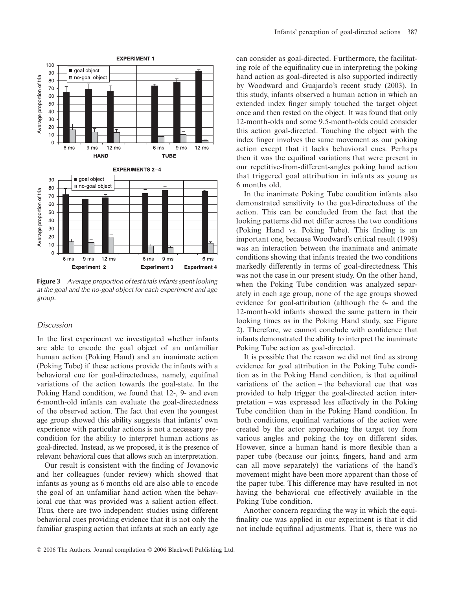

**Figure 3** *Average proportion of test trials infants spent looking at the goal and the no-goal object for each experiment and age group.*

#### *Discussion*

In the first experiment we investigated whether infants are able to encode the goal object of an unfamiliar human action (Poking Hand) and an inanimate action (Poking Tube) if these actions provide the infants with a behavioral cue for goal-directedness, namely, equifinal variations of the action towards the goal-state. In the Poking Hand condition, we found that 12-, 9- and even 6-month-old infants can evaluate the goal-directedness of the observed action. The fact that even the youngest age group showed this ability suggests that infants' own experience with particular actions is not a necessary precondition for the ability to interpret human actions as goal-directed. Instead, as we proposed, it is the presence of relevant behavioral cues that allows such an interpretation.

Our result is consistent with the finding of Jovanovic and her colleagues (under review) which showed that infants as young as 6 months old are also able to encode the goal of an unfamiliar hand action when the behavioral cue that was provided was a salient action effect. Thus, there are two independent studies using different behavioral cues providing evidence that it is not only the familiar grasping action that infants at such an early age can consider as goal-directed. Furthermore, the facilitating role of the equifinality cue in interpreting the poking hand action as goal-directed is also supported indirectly by Woodward and Guajardo's recent study (2003). In this study, infants observed a human action in which an extended index finger simply touched the target object once and then rested on the object. It was found that only 12-month-olds and some 9.5-month-olds could consider this action goal-directed. Touching the object with the index finger involves the same movement as our poking action except that it lacks behavioral cues. Perhaps then it was the equifinal variations that were present in our repetitive-from-different-angles poking hand action that triggered goal attribution in infants as young as 6 months old.

In the inanimate Poking Tube condition infants also demonstrated sensitivity to the goal-directedness of the action. This can be concluded from the fact that the looking patterns did not differ across the two conditions (Poking Hand vs. Poking Tube). This finding is an important one, because Woodward's critical result (1998) was an interaction between the inanimate and animate conditions showing that infants treated the two conditions markedly differently in terms of goal-directedness. This was not the case in our present study. On the other hand, when the Poking Tube condition was analyzed separately in each age group, none of the age groups showed evidence for goal-attribution (although the 6- and the 12-month-old infants showed the same pattern in their looking times as in the Poking Hand study, see Figure 2). Therefore, we cannot conclude with confidence that infants demonstrated the ability to interpret the inanimate Poking Tube action as goal-directed.

It is possible that the reason we did not find as strong evidence for goal attribution in the Poking Tube condition as in the Poking Hand condition, is that equifinal variations of the action − the behavioral cue that was provided to help trigger the goal-directed action interpretation − was expressed less effectively in the Poking Tube condition than in the Poking Hand condition. In both conditions, equifinal variations of the action were created by the actor approaching the target toy from various angles and poking the toy on different sides. However, since a human hand is more flexible than a paper tube (because our joints, fingers, hand and arm can all move separately) the variations of the hand's movement might have been more apparent than those of the paper tube. This difference may have resulted in not having the behavioral cue effectively available in the Poking Tube condition.

Another concern regarding the way in which the equifinality cue was applied in our experiment is that it did not include equifinal adjustments. That is, there was no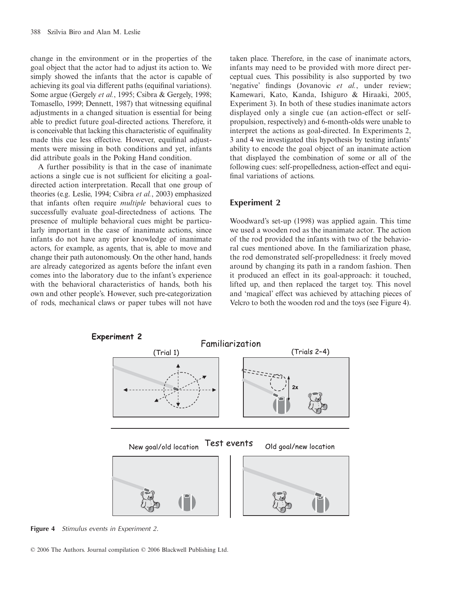change in the environment or in the properties of the goal object that the actor had to adjust its action to. We simply showed the infants that the actor is capable of achieving its goal via different paths (equifinal variations). Some argue (Gergely *et al.*, 1995; Csibra & Gergely, 1998; Tomasello, 1999; Dennett, 1987) that witnessing equifinal adjustments in a changed situation is essential for being able to predict future goal-directed actions. Therefore, it is conceivable that lacking this characteristic of equifinality made this cue less effective. However, equifinal adjustments were missing in both conditions and yet, infants did attribute goals in the Poking Hand condition.

A further possibility is that in the case of inanimate actions a single cue is not sufficient for eliciting a goaldirected action interpretation. Recall that one group of theories (e.g. Leslie, 1994; Csibra *et al.*, 2003) emphasized that infants often require *multiple* behavioral cues to successfully evaluate goal-directedness of actions. The presence of multiple behavioral cues might be particularly important in the case of inanimate actions, since infants do not have any prior knowledge of inanimate actors, for example, as agents, that is, able to move and change their path autonomously. On the other hand, hands are already categorized as agents before the infant even comes into the laboratory due to the infant's experience with the behavioral characteristics of hands, both his own and other people's. However, such pre-categorization of rods, mechanical claws or paper tubes will not have

taken place. Therefore, in the case of inanimate actors, infants may need to be provided with more direct perceptual cues. This possibility is also supported by two 'negative' findings (Jovanovic *et al.*, under review; Kamewari, Kato, Kanda, Ishiguro & Hiraaki, 2005, Experiment 3). In both of these studies inanimate actors displayed only a single cue (an action-effect or selfpropulsion, respectively) and 6-month-olds were unable to interpret the actions as goal-directed. In Experiments 2, 3 and 4 we investigated this hypothesis by testing infants' ability to encode the goal object of an inanimate action that displayed the combination of some or all of the following cues: self-propelledness, action-effect and equifinal variations of actions.

# **Experiment 2**

Woodward's set-up (1998) was applied again. This time we used a wooden rod as the inanimate actor. The action of the rod provided the infants with two of the behavioral cues mentioned above. In the familiarization phase, the rod demonstrated self-propelledness: it freely moved around by changing its path in a random fashion. Then it produced an effect in its goal-approach: it touched, lifted up, and then replaced the target toy. This novel and 'magical' effect was achieved by attaching pieces of Velcro to both the wooden rod and the toys (see Figure 4).



**Figure 4** *Stimulus events in Experiment 2.*

© 2006 The Authors. Journal compilation © 2006 Blackwell Publishing Ltd.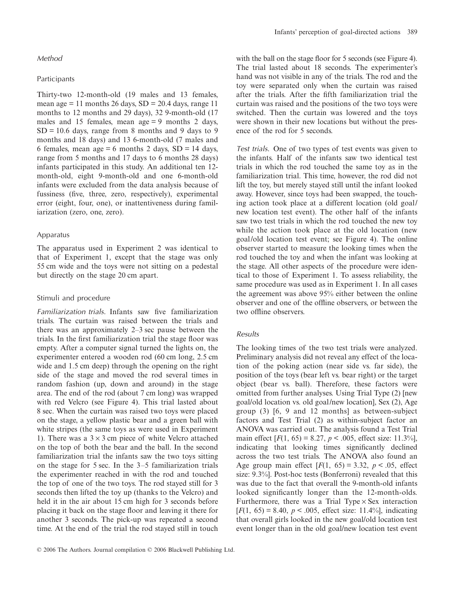#### *Method*

#### Participants

Thirty-two 12-month-old (19 males and 13 females, mean age  $= 11$  months 26 days, SD  $= 20.4$  days, range 11 months to 12 months and 29 days), 32 9-month-old (17 males and 15 females, mean age  $= 9$  months 2 days,  $SD = 10.6$  days, range from 8 months and 9 days to 9 months and 18 days) and 13 6-month-old (7 males and 6 females, mean age  $= 6$  months 2 days,  $SD = 14$  days, range from 5 months and 17 days to 6 months 28 days) infants participated in this study. An additional ten 12 month-old, eight 9-month-old and one 6-month-old infants were excluded from the data analysis because of fussiness (five, three, zero, respectively), experimental error (eight, four, one), or inattentiveness during familiarization (zero, one, zero).

#### Apparatus

The apparatus used in Experiment 2 was identical to that of Experiment 1, except that the stage was only 55 cm wide and the toys were not sitting on a pedestal but directly on the stage 20 cm apart.

#### Stimuli and procedure

*Familiarization trials*. Infants saw five familiarization trials. The curtain was raised between the trials and there was an approximately 2–3 sec pause between the trials. In the first familiarization trial the stage floor was empty. After a computer signal turned the lights on, the experimenter entered a wooden rod (60 cm long, 2.5 cm wide and 1.5 cm deep) through the opening on the right side of the stage and moved the rod several times in random fashion (up, down and around) in the stage area. The end of the rod (about 7 cm long) was wrapped with red Velcro (see Figure 4). This trial lasted about 8 sec. When the curtain was raised two toys were placed on the stage, a yellow plastic bear and a green ball with white stripes (the same toys as were used in Experiment 1). There was a  $3 \times 3$  cm piece of white Velcro attached on the top of both the bear and the ball. In the second familiarization trial the infants saw the two toys sitting on the stage for 5 sec. In the 3–5 familiarization trials the experimenter reached in with the rod and touched the top of one of the two toys. The rod stayed still for 3 seconds then lifted the toy up (thanks to the Velcro) and held it in the air about 15 cm high for 3 seconds before placing it back on the stage floor and leaving it there for another 3 seconds. The pick-up was repeated a second time. At the end of the trial the rod stayed still in touch with the ball on the stage floor for 5 seconds (see Figure 4). The trial lasted about 18 seconds. The experimenter's hand was not visible in any of the trials. The rod and the toy were separated only when the curtain was raised after the trials. After the fifth familiarization trial the curtain was raised and the positions of the two toys were switched. Then the curtain was lowered and the toys were shown in their new locations but without the presence of the rod for 5 seconds.

*Test trials*. One of two types of test events was given to the infants. Half of the infants saw two identical test trials in which the rod touched the same toy as in the familiarization trial. This time, however, the rod did not lift the toy, but merely stayed still until the infant looked away. However, since toys had been swapped, the touching action took place at a different location (old goal/ new location test event). The other half of the infants saw two test trials in which the rod touched the new toy while the action took place at the old location (new goal/old location test event; see Figure 4). The online observer started to measure the looking times when the rod touched the toy and when the infant was looking at the stage. All other aspects of the procedure were identical to those of Experiment 1. To assess reliability, the same procedure was used as in Experiment 1. In all cases the agreement was above 95% either between the online observer and one of the offline observers, or between the two offline observers.

# *Results*

The looking times of the two test trials were analyzed. Preliminary analysis did not reveal any effect of the location of the poking action (near side vs. far side), the position of the toys (bear left vs. bear right) or the target object (bear vs. ball). Therefore, these factors were omitted from further analyses. Using Trial Type (2) [new goal/old location vs. old goal/new location], Sex (2), Age group (3) [6, 9 and 12 months] as between-subject factors and Test Trial (2) as within-subject factor an ANOVA was carried out. The analysis found a Test Trial main effect  $[F(1, 65) = 8.27, p < .005,$  effect size: 11.3%], indicating that looking times significantly declined across the two test trials. The ANOVA also found an Age group main effect  $[F(1, 65) = 3.32, p < .05,$  effect size: 9.3%]. Post-hoc tests (Bonferroni) revealed that this was due to the fact that overall the 9-month-old infants looked significantly longer than the 12-month-olds. Furthermore, there was a Trial Type  $\times$  Sex interaction  $[F(1, 65) = 8.40, p < .005,$  effect size: 11.4%], indicating that overall girls looked in the new goal/old location test event longer than in the old goal/new location test event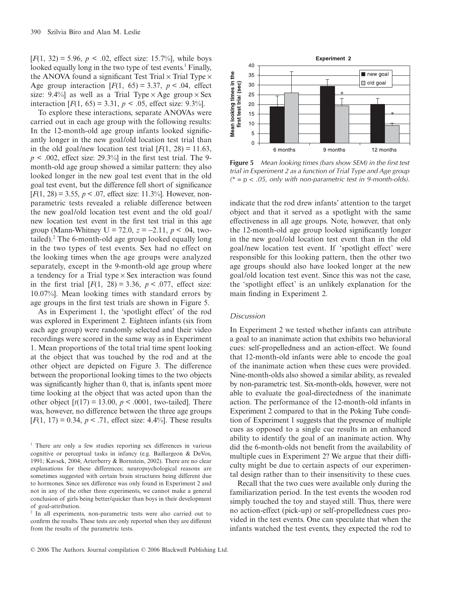$[F(1, 32) = 5.96, p < .02,$  effect size: 15.7%], while boys looked equally long in the two type of test events.<sup>1</sup> Finally, the ANOVA found a significant Test Trial  $\times$  Trial Type  $\times$ Age group interaction  $[F(1, 65) = 3.37, p < .04,$  effect size: 9.4%] as well as a Trial Type  $\times$  Age group  $\times$  Sex interaction  $[F(1, 65) = 3.31, p < .05$ , effect size: 9.3%].

To explore these interactions, separate ANOVAs were carried out in each age group with the following results: In the 12-month-old age group infants looked significantly longer in the new goal/old location test trial than in the old goal/new location test trial  $[F(1, 28) = 11.63]$ ,  $p \leq 0.002$ , effect size: 29.3%] in the first test trial. The 9month-old age group showed a similar pattern: they also looked longer in the new goal test event that in the old goal test event, but the difference fell short of significance  $[F(1, 28) = 3.55, p < .07,$  effect size: 11.3%]. However, nonparametric tests revealed a reliable difference between the new goal/old location test event and the old goal/ new location test event in the first test trial in this age group (Mann-Whitney U = 72.0,  $z = -2.11$ ,  $p < .04$ , twotailed). $^2$  The 6-month-old age group looked equally long in the two types of test events. Sex had no effect on the looking times when the age groups were analyzed separately, except in the 9-month-old age group where a tendency for a Trial type  $\times$  Sex interaction was found in the first trial  $[F(1, 28) = 3.36, p < .077,$  effect size: 10.07%]. Mean looking times with standard errors by age groups in the first test trials are shown in Figure 5.

As in Experiment 1, the 'spotlight effect' of the rod was explored in Experiment 2. Eighteen infants (six from each age group) were randomly selected and their video recordings were scored in the same way as in Experiment 1. Mean proportions of the total trial time spent looking at the object that was touched by the rod and at the other object are depicted on Figure 3. The difference between the proportional looking times to the two objects was significantly higher than 0, that is, infants spent more time looking at the object that was acted upon than the other object  $[t(17) = 13.00, p < .0001$ , two-tailed. There was, however, no difference between the three age groups  $[F(1, 17) = 0.34, p < .71$ , effect size: 4.4%]. These results

<sup>2</sup> In all experiments, non-parametric tests were also carried out to confirm the results. These tests are only reported when they are different from the results of the parametric tests.



**Figure 5** *Mean looking times (bars show SEM) in the first test trial in Experiment 2 as a function of Trial Type and Age group (*\* = p < *.05, only with non-parametric test in 9-month-olds).*

indicate that the rod drew infants' attention to the target object and that it served as a spotlight with the same effectiveness in all age groups. Note, however, that only the 12-month-old age group looked significantly longer in the new goal/old location test event than in the old goal/new location test event. If 'spotlight effect' were responsible for this looking pattern, then the other two age groups should also have looked longer at the new goal/old location test event. Since this was not the case, the 'spotlight effect' is an unlikely explanation for the main finding in Experiment 2.

#### *Discussion*

In Experiment 2 we tested whether infants can attribute a goal to an inanimate action that exhibits two behavioral cues: self-propelledness and an action-effect. We found that 12-month-old infants were able to encode the goal of the inanimate action when these cues were provided. Nine-month-olds also showed a similar ability, as revealed by non-parametric test. Six-month-olds, however, were not able to evaluate the goal-directedness of the inanimate action. The performance of the 12-month-old infants in Experiment 2 compared to that in the Poking Tube condition of Experiment 1 suggests that the presence of multiple cues as opposed to a single cue results in an enhanced ability to identify the goal of an inanimate action. Why did the 6-month-olds not benefit from the availability of multiple cues in Experiment 2? We argue that their difficulty might be due to certain aspects of our experimental design rather than to their insensitivity to these cues.

Recall that the two cues were available only during the familiarization period. In the test events the wooden rod simply touched the toy and stayed still. Thus, there were no action-effect (pick-up) or self-propelledness cues provided in the test events. One can speculate that when the infants watched the test events, they expected the rod to

<sup>&</sup>lt;sup>1</sup> There are only a few studies reporting sex differences in various cognitive or perceptual tasks in infancy (e.g. Baillargeon & DeVos, 1991; Kavsek, 2004; Arterberry & Bornstein, 2002). There are no clear explanations for these differences; neuropsychological reasons are sometimes suggested with certain brain structures being different due to hormones. Since sex difference was only found in Experiment 2 and not in any of the other three experiments, we cannot make a general conclusion of girls being better/quicker than boys in their development of goal-attribution.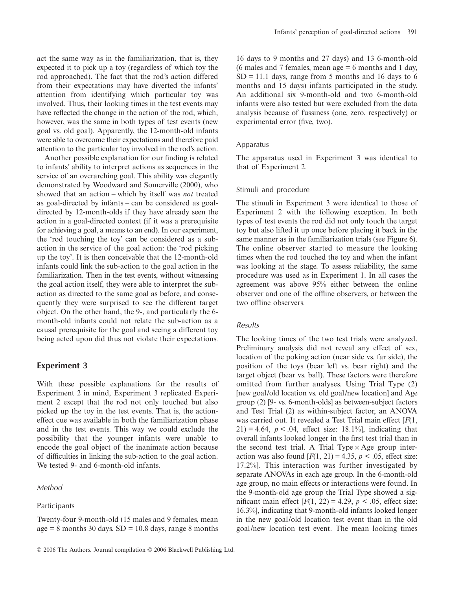act the same way as in the familiarization, that is, they expected it to pick up a toy (regardless of which toy the rod approached). The fact that the rod's action differed from their expectations may have diverted the infants' attention from identifying which particular toy was involved. Thus, their looking times in the test events may have reflected the change in the action of the rod, which, however, was the same in both types of test events (new goal vs. old goal). Apparently, the 12-month-old infants were able to overcome their expectations and therefore paid attention to the particular toy involved in the rod's action.

Another possible explanation for our finding is related to infants' ability to interpret actions as sequences in the service of an overarching goal. This ability was elegantly demonstrated by Woodward and Somerville (2000), who showed that an action − which by itself was *not* treated as goal-directed by infants − can be considered as goaldirected by 12-month-olds if they have already seen the action in a goal-directed context (if it was a prerequisite for achieving a goal, a means to an end). In our experiment, the 'rod touching the toy' can be considered as a subaction in the service of the goal action: the 'rod picking up the toy'. It is then conceivable that the 12-month-old infants could link the sub-action to the goal action in the familiarization. Then in the test events, without witnessing the goal action itself, they were able to interpret the subaction as directed to the same goal as before, and consequently they were surprised to see the different target object. On the other hand, the 9-, and particularly the 6 month-old infants could not relate the sub-action as a causal prerequisite for the goal and seeing a different toy being acted upon did thus not violate their expectations.

## **Experiment 3**

With these possible explanations for the results of Experiment 2 in mind, Experiment 3 replicated Experiment 2 except that the rod not only touched but also picked up the toy in the test events. That is, the actioneffect cue was available in both the familiarization phase and in the test events. This way we could exclude the possibility that the younger infants were unable to encode the goal object of the inanimate action because of difficulties in linking the sub-action to the goal action. We tested 9- and 6-month-old infants.

## *Method*

#### Participants

Twenty-four 9-month-old (15 males and 9 females, mean age = 8 months 30 days,  $SD = 10.8$  days, range 8 months 16 days to 9 months and 27 days) and 13 6-month-old (6 males and 7 females, mean age  $= 6$  months and 1 day,  $SD = 11.1$  days, range from 5 months and 16 days to 6 months and 15 days) infants participated in the study. An additional six 9-month-old and two 6-month-old infants were also tested but were excluded from the data analysis because of fussiness (one, zero, respectively) or experimental error (five, two).

#### Apparatus

The apparatus used in Experiment 3 was identical to that of Experiment 2.

#### Stimuli and procedure

The stimuli in Experiment 3 were identical to those of Experiment 2 with the following exception. In both types of test events the rod did not only touch the target toy but also lifted it up once before placing it back in the same manner as in the familiarization trials (see Figure 6). The online observer started to measure the looking times when the rod touched the toy and when the infant was looking at the stage. To assess reliability, the same procedure was used as in Experiment 1. In all cases the agreement was above 95% either between the online observer and one of the offline observers, or between the two offline observers.

#### *Results*

The looking times of the two test trials were analyzed. Preliminary analysis did not reveal any effect of sex, location of the poking action (near side vs. far side), the position of the toys (bear left vs. bear right) and the target object (bear vs. ball). These factors were therefore omitted from further analyses. Using Trial Type (2) [new goal/old location vs. old goal/new location] and Age group (2) [9- vs. 6-month-olds] as between-subject factors and Test Trial (2) as within-subject factor, an ANOVA was carried out. It revealed a Test Trial main effect [*F*(1,  $21$ ) = 4.64, *p* < .04, effect size: 18.1%], indicating that overall infants looked longer in the first test trial than in the second test trial. A Trial Type  $\times$  Age group interaction was also found  $[F(1, 21) = 4.35, p < .05]$ , effect size: 17.2%]. This interaction was further investigated by separate ANOVAs in each age group. In the 6-month-old age group, no main effects or interactions were found. In the 9-month-old age group the Trial Type showed a significant main effect  $[F(1, 22) = 4.29, p < .05,$  effect size: 16.3%], indicating that 9-month-old infants looked longer in the new goal/old location test event than in the old goal/new location test event. The mean looking times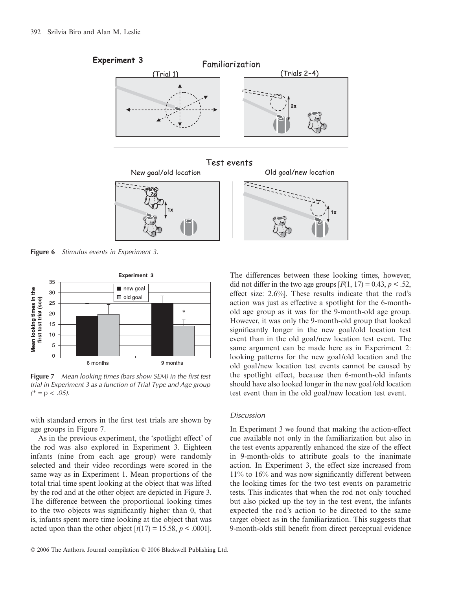

Test events

 $\overline{\mathbb{R}}$ 



**Figure 6** *Stimulus events in Experiment 3.*



**Figure 7** *Mean looking times (bars show SEM) in the first test trial in Experiment 3 as a function of Trial Type and Age group*   $(* = p < .05).$ 

with standard errors in the first test trials are shown by age groups in Figure 7.

As in the previous experiment, the 'spotlight effect' of the rod was also explored in Experiment 3. Eighteen infants (nine from each age group) were randomly selected and their video recordings were scored in the same way as in Experiment 1. Mean proportions of the total trial time spent looking at the object that was lifted by the rod and at the other object are depicted in Figure 3. The difference between the proportional looking times to the two objects was significantly higher than 0, that is, infants spent more time looking at the object that was acted upon than the other object  $[t(17) = 15.58, p < .0001]$ .



Old goal/new location

#### *Discussion*

In Experiment 3 we found that making the action-effect cue available not only in the familiarization but also in the test events apparently enhanced the size of the effect in 9-month-olds to attribute goals to the inanimate action. In Experiment 3, the effect size increased from 11% to 16% and was now significantly different between the looking times for the two test events on parametric tests. This indicates that when the rod not only touched but also picked up the toy in the test event, the infants expected the rod's action to be directed to the same target object as in the familiarization. This suggests that 9-month-olds still benefit from direct perceptual evidence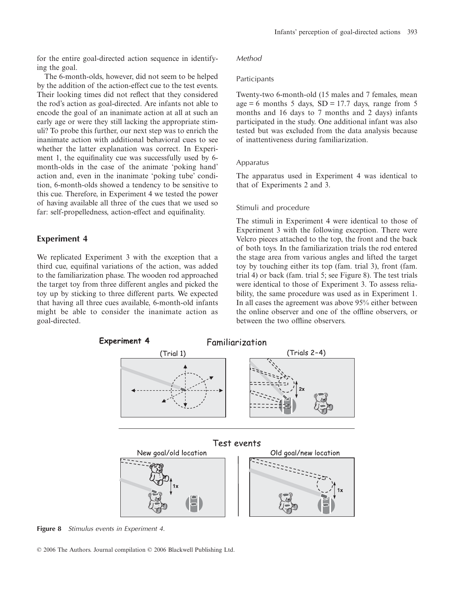for the entire goal-directed action sequence in identifying the goal.

The 6-month-olds, however, did not seem to be helped by the addition of the action-effect cue to the test events. Their looking times did not reflect that they considered the rod's action as goal-directed. Are infants not able to encode the goal of an inanimate action at all at such an early age or were they still lacking the appropriate stimuli? To probe this further, our next step was to enrich the inanimate action with additional behavioral cues to see whether the latter explanation was correct. In Experiment 1, the equifinality cue was successfully used by 6 month-olds in the case of the animate 'poking hand' action and, even in the inanimate 'poking tube' condition, 6-month-olds showed a tendency to be sensitive to this cue. Therefore, in Experiment 4 we tested the power of having available all three of the cues that we used so far: self-propelledness, action-effect and equifinality.

# **Experiment 4**

We replicated Experiment 3 with the exception that a third cue, equifinal variations of the action, was added to the familiarization phase. The wooden rod approached the target toy from three different angles and picked the toy up by sticking to three different parts. We expected that having all three cues available, 6-month-old infants might be able to consider the inanimate action as goal-directed.

### *Method*

## Participants

Twenty-two 6-month-old (15 males and 7 females, mean age = 6 months 5 days,  $SD = 17.7$  days, range from 5 months and 16 days to 7 months and 2 days) infants participated in the study. One additional infant was also tested but was excluded from the data analysis because of inattentiveness during familiarization.

## Apparatus

The apparatus used in Experiment 4 was identical to that of Experiments 2 and 3.

## Stimuli and procedure

The stimuli in Experiment 4 were identical to those of Experiment 3 with the following exception. There were Velcro pieces attached to the top, the front and the back of both toys. In the familiarization trials the rod entered the stage area from various angles and lifted the target toy by touching either its top (fam. trial 3), front (fam. trial 4) or back (fam. trial 5; see Figure 8). The test trials were identical to those of Experiment 3. To assess reliability, the same procedure was used as in Experiment 1. In all cases the agreement was above 95% either between the online observer and one of the offline observers, or between the two offline observers.



**Figure 8** *Stimulus events in Experiment 4.*

© 2006 The Authors. Journal compilation © 2006 Blackwell Publishing Ltd.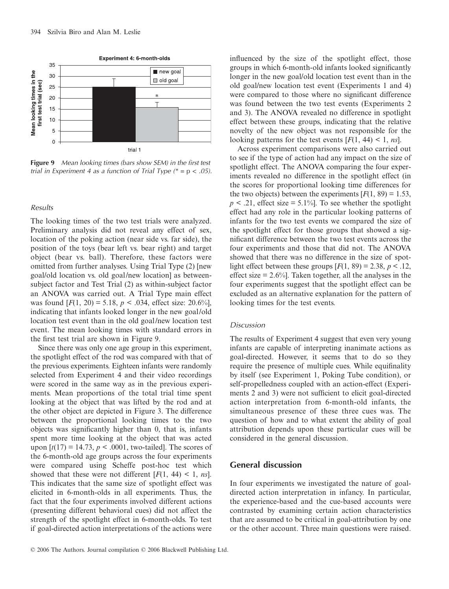

**Figure 9** *Mean looking times (bars show SEM) in the first test trial in Experiment 4 as a function of Trial Type (*\* = p < *.05).*

#### *Results*

The looking times of the two test trials were analyzed. Preliminary analysis did not reveal any effect of sex, location of the poking action (near side vs. far side), the position of the toys (bear left vs. bear right) and target object (bear vs. ball). Therefore, these factors were omitted from further analyses. Using Trial Type (2) [new goal/old location vs. old goal/new location] as betweensubject factor and Test Trial (2) as within-subject factor an ANOVA was carried out. A Trial Type main effect was found  $[F(1, 20) = 5.18, p < .034,$  effect size: 20.6%], indicating that infants looked longer in the new goal/old location test event than in the old goal/new location test event. The mean looking times with standard errors in the first test trial are shown in Figure 9.

Since there was only one age group in this experiment, the spotlight effect of the rod was compared with that of the previous experiments. Eighteen infants were randomly selected from Experiment 4 and their video recordings were scored in the same way as in the previous experiments. Mean proportions of the total trial time spent looking at the object that was lifted by the rod and at the other object are depicted in Figure 3. The difference between the proportional looking times to the two objects was significantly higher than 0, that is, infants spent more time looking at the object that was acted upon  $[t(17) = 14.73, p < .0001$ , two-tailed]. The scores of the 6-month-old age groups across the four experiments were compared using Scheffe post-hoc test which showed that these were not different  $[F(1, 44) \le 1, ns]$ . This indicates that the same size of spotlight effect was elicited in 6-month-olds in all experiments. Thus, the fact that the four experiments involved different actions (presenting different behavioral cues) did not affect the strength of the spotlight effect in 6-month-olds. To test if goal-directed action interpretations of the actions were

influenced by the size of the spotlight effect, those groups in which 6-month-old infants looked significantly longer in the new goal/old location test event than in the old goal/new location test event (Experiments 1 and 4) were compared to those where no significant difference was found between the two test events (Experiments 2 and 3). The ANOVA revealed no difference in spotlight effect between these groups, indicating that the relative novelty of the new object was not responsible for the looking patterns for the test events  $[F(1, 44) < 1, ns]$ .

Across experiment comparisons were also carried out to see if the type of action had any impact on the size of spotlight effect. The ANOVA comparing the four experiments revealed no difference in the spotlight effect (in the scores for proportional looking time differences for the two objects) between the experiments  $[F(1, 89) = 1.53]$ ,  $p \le 0.21$ , effect size = 5.1%]. To see whether the spotlight effect had any role in the particular looking patterns of infants for the two test events we compared the size of the spotlight effect for those groups that showed a significant difference between the two test events across the four experiments and those that did not. The ANOVA showed that there was no difference in the size of spotlight effect between these groups  $[F(1, 89) = 2.38, p < .12,$ effect size  $= 2.6\%$ ]. Taken together, all the analyses in the four experiments suggest that the spotlight effect can be excluded as an alternative explanation for the pattern of looking times for the test events.

#### *Discussion*

The results of Experiment 4 suggest that even very young infants are capable of interpreting inanimate actions as goal-directed. However, it seems that to do so they require the presence of multiple cues. While equifinality by itself (see Experiment 1, Poking Tube condition), or self-propelledness coupled with an action-effect (Experiments 2 and 3) were not sufficient to elicit goal-directed action interpretation from 6-month-old infants, the simultaneous presence of these three cues was. The question of how and to what extent the ability of goal attribution depends upon these particular cues will be considered in the general discussion.

# **General discussion**

In four experiments we investigated the nature of goaldirected action interpretation in infancy. In particular, the experience-based and the cue-based accounts were contrasted by examining certain action characteristics that are assumed to be critical in goal-attribution by one or the other account. Three main questions were raised.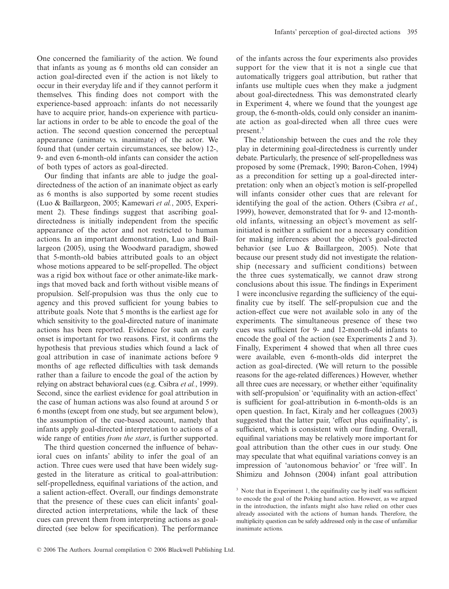One concerned the familiarity of the action. We found that infants as young as 6 months old can consider an action goal-directed even if the action is not likely to occur in their everyday life and if they cannot perform it themselves. This finding does not comport with the experience-based approach: infants do not necessarily have to acquire prior, hands-on experience with particular actions in order to be able to encode the goal of the action. The second question concerned the perceptual appearance (animate vs. inanimate) of the actor. We found that (under certain circumstances, see below) 12-, 9- and even 6-month-old infants can consider the action of both types of actors as goal-directed.

Our finding that infants are able to judge the goaldirectedness of the action of an inanimate object as early as 6 months is also supported by some recent studies (Luo & Baillargeon, 2005; Kamewari *et al.*, 2005, Experiment 2). These findings suggest that ascribing goaldirectedness is initially independent from the specific appearance of the actor and not restricted to human actions. In an important demonstration, Luo and Baillargeon (2005), using the Woodward paradigm, showed that 5-month-old babies attributed goals to an object whose motions appeared to be self-propelled. The object was a rigid box without face or other animate-like markings that moved back and forth without visible means of propulsion. Self-propulsion was thus the only cue to agency and this proved sufficient for young babies to attribute goals. Note that 5 months is the earliest age for which sensitivity to the goal-directed nature of inanimate actions has been reported. Evidence for such an early onset is important for two reasons. First, it confirms the hypothesis that previous studies which found a lack of goal attribution in case of inanimate actions before 9 months of age reflected difficulties with task demands rather than a failure to encode the goal of the action by relying on abstract behavioral cues (e.g. Csibra *et al.*, 1999). Second, since the earliest evidence for goal attribution in the case of human actions was also found at around 5 or 6 months (except from one study, but see argument below), the assumption of the cue-based account, namely that infants apply goal-directed interpretation to actions of a wide range of entities *from the start*, is further supported.

The third question concerned the influence of behavioral cues on infants' ability to infer the goal of an action. Three cues were used that have been widely suggested in the literature as critical to goal-attribution: self-propelledness, equifinal variations of the action, and a salient action-effect. Overall, our findings demonstrate that the presence of these cues can elicit infants' goaldirected action interpretations, while the lack of these cues can prevent them from interpreting actions as goaldirected (see below for specification). The performance of the infants across the four experiments also provides support for the view that it is not a single cue that automatically triggers goal attribution, but rather that infants use multiple cues when they make a judgment about goal-directedness. This was demonstrated clearly in Experiment 4, where we found that the youngest age group, the 6-month-olds, could only consider an inanimate action as goal-directed when all three cues were present.3

The relationship between the cues and the role they play in determining goal-directedness is currently under debate. Particularly, the presence of self-propelledness was proposed by some (Premack, 1990; Baron-Cohen, 1994) as a precondition for setting up a goal-directed interpretation: only when an object's motion is self-propelled will infants consider other cues that are relevant for identifying the goal of the action. Others (Csibra *et al.*, 1999), however, demonstrated that for 9- and 12-monthold infants, witnessing an object's movement as selfinitiated is neither a sufficient nor a necessary condition for making inferences about the object's goal-directed behavior (see Luo & Baillargeon, 2005). Note that because our present study did not investigate the relationship (necessary and sufficient conditions) between the three cues systematically, we cannot draw strong conclusions about this issue. The findings in Experiment 1 were inconclusive regarding the sufficiency of the equifinality cue by itself. The self-propulsion cue and the action-effect cue were not available solo in any of the experiments. The simultaneous presence of these two cues was sufficient for 9- and 12-month-old infants to encode the goal of the action (see Experiments 2 and 3). Finally, Experiment 4 showed that when all three cues were available, even 6-month-olds did interpret the action as goal-directed. (We will return to the possible reasons for the age-related differences.) However, whether all three cues are necessary, or whether either 'equifinality with self-propulsion' or 'equifinality with an action-effect' is sufficient for goal-attribution in 6-month-olds is an open question. In fact, Kiraly and her colleagues (2003) suggested that the latter pair, 'effect plus equifinality', is sufficient, which is consistent with our finding. Overall, equifinal variations may be relatively more important for goal attribution than the other cues in our study. One may speculate that what equifinal variations convey is an impression of 'autonomous behavior' or 'free will'. In Shimizu and Johnson (2004) infant goal attribution

 $3$  Note that in Experiment 1, the equifinality cue by itself was sufficient to encode the goal of the Poking hand action. However, as we argued in the introduction, the infants might also have relied on other cues already associated with the actions of human hands. Therefore, the multiplicity question can be safely addressed only in the case of unfamiliar inanimate actions.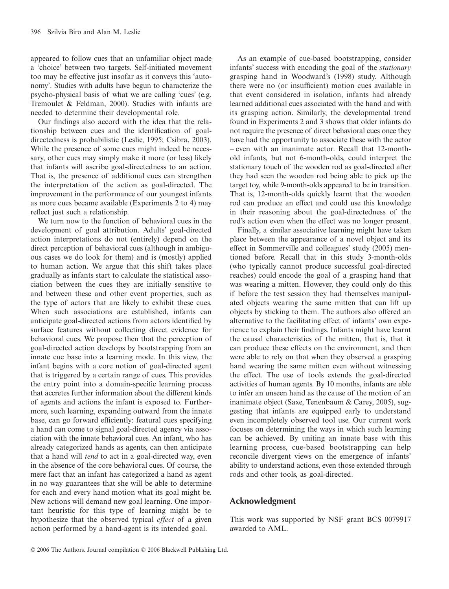appeared to follow cues that an unfamiliar object made a 'choice' between two targets. Self-initiated movement too may be effective just insofar as it conveys this 'autonomy'. Studies with adults have begun to characterize the psycho-physical basis of what we are calling 'cues' (e.g. Tremoulet & Feldman, 2000). Studies with infants are needed to determine their developmental role.

Our findings also accord with the idea that the relationship between cues and the identification of goaldirectedness is probabilistic (Leslie, 1995; Csibra, 2003). While the presence of some cues might indeed be necessary, other cues may simply make it more (or less) likely that infants will ascribe goal-directedness to an action. That is, the presence of additional cues can strengthen the interpretation of the action as goal-directed. The improvement in the performance of our youngest infants as more cues became available (Experiments 2 to 4) may reflect just such a relationship.

We turn now to the function of behavioral cues in the development of goal attribution. Adults' goal-directed action interpretations do not (entirely) depend on the direct perception of behavioral cues (although in ambiguous cases we do look for them) and is (mostly) applied to human action. We argue that this shift takes place gradually as infants start to calculate the statistical association between the cues they are initially sensitive to and between these and other event properties, such as the type of actors that are likely to exhibit these cues. When such associations are established, infants can anticipate goal-directed actions from actors identified by surface features without collecting direct evidence for behavioral cues. We propose then that the perception of goal-directed action develops by bootstrapping from an innate cue base into a learning mode. In this view, the infant begins with a core notion of goal-directed agent that is triggered by a certain range of cues. This provides the entry point into a domain-specific learning process that accretes further information about the different kinds of agents and actions the infant is exposed to. Furthermore, such learning, expanding outward from the innate base, can go forward efficiently: featural cues specifying a hand can come to signal goal-directed agency via association with the innate behavioral cues. An infant, who has already categorized hands as agents, can then anticipate that a hand will *tend* to act in a goal-directed way, even in the absence of the core behavioral cues. Of course, the mere fact that an infant has categorized a hand as agent in no way guarantees that she will be able to determine for each and every hand motion what its goal might be. New actions will demand new goal learning. One important heuristic for this type of learning might be to hypothesize that the observed typical *effect* of a given action performed by a hand-agent is its intended goal.

As an example of cue-based bootstrapping, consider infants' success with encoding the goal of the *stationary* grasping hand in Woodward's (1998) study. Although there were no (or insufficient) motion cues available in that event considered in isolation, infants had already learned additional cues associated with the hand and with its grasping action. Similarly, the developmental trend found in Experiments 2 and 3 shows that older infants do not require the presence of direct behavioral cues once they have had the opportunity to associate these with the actor − even with an inanimate actor. Recall that 12-monthold infants, but not 6-month-olds, could interpret the stationary touch of the wooden rod as goal-directed after they had seen the wooden rod being able to pick up the target toy, while 9-month-olds appeared to be in transition. That is, 12-month-olds quickly learnt that the wooden rod can produce an effect and could use this knowledge in their reasoning about the goal-directedness of the rod's action even when the effect was no longer present.

Finally, a similar associative learning might have taken place between the appearance of a novel object and its effect in Sommerville and colleagues' study (2005) mentioned before. Recall that in this study 3-month-olds (who typically cannot produce successful goal-directed reaches) could encode the goal of a grasping hand that was wearing a mitten. However, they could only do this if before the test session they had themselves manipulated objects wearing the same mitten that can lift up objects by sticking to them. The authors also offered an alternative to the facilitating effect of infants' own experience to explain their findings. Infants might have learnt the causal characteristics of the mitten, that is, that it can produce these effects on the environment, and then were able to rely on that when they observed a grasping hand wearing the same mitten even without witnessing the effect. The use of tools extends the goal-directed activities of human agents. By 10 months, infants are able to infer an unseen hand as the cause of the motion of an inanimate object (Saxe, Tenenbaum & Carey, 2005), suggesting that infants are equipped early to understand even incompletely observed tool use. Our current work focuses on determining the ways in which such learning can be achieved. By uniting an innate base with this learning process, cue-based bootstrapping can help reconcile divergent views on the emergence of infants' ability to understand actions, even those extended through rods and other tools, as goal-directed.

# **Acknowledgment**

This work was supported by NSF grant BCS 0079917 awarded to AML.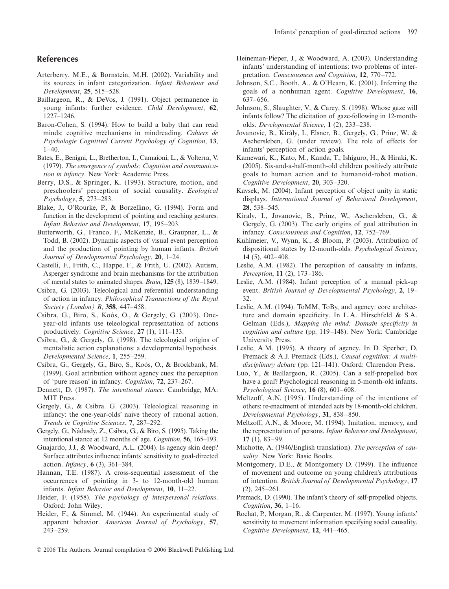## **References**

- Arterberry, M.E., & Bornstein, M.H. (2002). Variability and its sources in infant categorization. *Infant Behaviour and Development*, **25**, 515–528.
- Baillargeon, R., & DeVos, J. (1991). Object permanence in young infants: further evidence. *Child Development*, **62**, 1227–1246.
- Baron-Cohen, S. (1994). How to build a baby that can read minds: cognitive mechanisms in mindreading. *Cahiers de Psychologie Cognitive/ Current Psychology of Cognition*, **13**,  $1-40.$
- Bates, E., Benigni, L., Bretherton, I., Camaioni, L., & Volterra, V. (1979). *The emergence of symbols: Cognition and communication in infancy*. New York: Academic Press.
- Berry, D.S., & Springer, K. (1993). Structure, motion, and preschoolers' perception of social causality. *Ecological Psychology*, **5**, 273–283.
- Blake, J., O'Rourke, P., & Borzellino, G. (1994). Form and function in the development of pointing and reaching gestures. *Infant Behavior and Development*, **17**, 195–203.
- Butterworth, G., Franco, F., McKenzie, B., Graupner, L., & Todd, B. (2002). Dynamic aspects of visual event perception and the production of pointing by human infants. *British Journal of Developmental Psychology*, **20**, 1–24.
- Castelli, F., Frith, C., Happe, F., & Frith, U. (2002). Autism, Asperger syndrome and brain mechanisms for the attribution of mental states to animated shapes. *Brain*, **125** (8), 1839–1849.
- Csibra, G. (2003). Teleological and referential understanding of action in infancy. *Philosophical Transactions of the Royal Society (London) B*, **358**, 447–458.
- Csibra, G., Biro, S., Koós, O., & Gergely, G. (2003). Oneyear-old infants use teleological representation of actions productively. *Cognitive Science*, **27** (1), 111–133.
- Csibra, G., & Gergely, G. (1998). The teleological origins of mentalistic action explanations: a developmental hypothesis. *Developmental Science*, **1**, 255–259.
- Csibra, G., Gergely, G., Biro, S., Koós, O., & Brockbank, M. (1999). Goal attribution without agency cues: the perception of 'pure reason' in infancy. *Cognition*, **72**, 237–267.
- Dennett, D. (1987). *The intentional stance*. Cambridge, MA: MIT Press.
- Gergely, G., & Csibra. G. (2003). Teleological reasoning in infancy: the one-year-olds' naive theory of rational action. *Trends in Cognitive Sciences*, **7**, 287–292.
- Gergely, G., Nádasdy, Z., Csibra, G., & Biro, S. (1995). Taking the intentional stance at 12 months of age. *Cognition*, **56**, 165–193.
- Guajardo, J.J., & Woodward, A.L. (2004). Is agency skin deep? Surface attributes influence infants' sensitivity to goal-directed action. *Infancy*, **6** (3), 361–384.
- Hannan, T.E. (1987). A cross-sequential assessment of the occurrences of pointing in 3- to 12-month-old human infants. *Infant Behavior and Development*, **10**, 11–22.
- Heider, F. (1958). *The psychology of interpersonal relations*. Oxford: John Wiley.
- Heider, F., & Simmel, M. (1944). An experimental study of apparent behavior. *American Journal of Psychology*, **57**, 243–259.
- Heineman-Pieper, J., & Woodward, A. (2003). Understanding infants' understanding of intentions: two problems of interpretation. *Consciousness and Cognition*, **12**, 770–772.
- Johnson, S.C., Booth, A., & O'Hearn, K. (2001). Inferring the goals of a nonhuman agent. *Cognitive Development*, **16**, 637–656.
- Johnson, S., Slaughter, V., & Carey, S. (1998). Whose gaze will infants follow? The elicitation of gaze-following in 12-montholds. *Developmental Science*, **1** (2), 233–238.
- Jovanovic, B., Király, I., Elsner, B., Gergely, G., Prinz, W., & Aschersleben, G. (under review). The role of effects for infants' perception of action goals.
- Kamewari, K., Kato, M., Kanda, T., Ishiguro, H., & Hiraki, K. (2005). Six-and-a-half-month-old children positively attribute goals to human action and to humanoid-robot motion. *Cognitive Development*, **20**, 303–320.
- Kavsek, M. (2004). Infant perception of object unity in static displays. *International Journal of Behavioral Development*, **28**, 538–545.
- Kiraly, I., Jovanovic, B., Prinz, W., Aschersleben, G., & Gergely, G. (2003). The early origins of goal attribution in infancy. *Consciousness and Cognition*, **12**, 752–769.
- Kuhlmeier, V., Wynn, K., & Bloom, P. (2003). Attribution of dispositional states by 12-month-olds. *Psychological Science*, **14** (5), 402–408.
- Leslie, A.M. (1982). The perception of causality in infants. *Perception*, **11** (2), 173–186.
- Leslie, A.M. (1984). Infant perception of a manual pick-up event. *British Journal of Developmental Psychology*, **2**, 19– 32.
- Leslie, A.M. (1994). ToMM, ToBy, and agency: core architecture and domain specificity. In L.A. Hirschfeld & S.A. Gelman (Eds.), *Mapping the mind: Domain specificity in cognition and culture* (pp. 119–148). New York: Cambridge University Press.
- Leslie, A.M. (1995). A theory of agency. In D. Sperber, D. Premack & A.J. Premack (Eds.), *Causal cognition: A multidisciplinary debate* (pp. 121–141). Oxford: Clarendon Press.
- Luo, Y., & Baillargeon, R. (2005). Can a self-propelled box have a goal? Psychological reasoning in 5-month-old infants. *Psychological Science*, **16** (8), 601–608.
- Meltzoff, A.N. (1995). Understanding of the intentions of others: re-enactment of intended acts by 18-month-old children. *Developmental Psychology*, **31**, 838–850.
- Meltzoff, A.N., & Moore, M. (1994). Imitation, memory, and the representation of persons. *Infant Behavior and Development*, **17** (1), 83–99.
- Michotte, A. (1946/English translation). *The perception of causality*. New York: Basic Books.
- Montgomery, D.E., & Montgomery D. (1999). The influence of movement and outcome on young children's attributions of intention. *British Journal of Developmental Psychology*, **17** (2), 245–261.
- Premack, D. (1990). The infant's theory of self-propelled objects. *Cognition*, **36**, 1–16.
- Rochat, P., Morgan, R., & Carpenter, M. (1997). Young infants' sensitivity to movement information specifying social causality. *Cognitive Development*, **12**, 441–465.